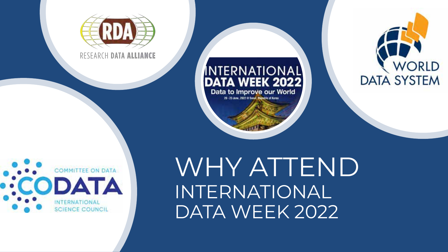

RESEARCH DATA ALLIANCE

#### INTERNATIONAL **DATA WEEK 2022** Data to Improve our World 20 - 23 June, 2022 @ Secul, Secretic of Korea





WHY ATTEND INTERNATIONAL DATA WEEK 2022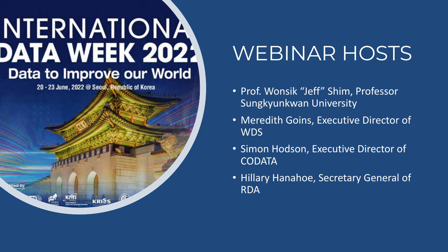20 - 23 June, 2022 @ Seoul, Republic of Korea

**KRISS** 

ned by

# WEBINAR HOSTS

- Prof. Wonsik "Jeff" Shim, Professor Sungkyunkwan University
- Meredith Goins, Executive Director of WDS
- Simon Hodson, Executive Director of **CODATA**
- Hillary Hanahoe, Secretary General of RDA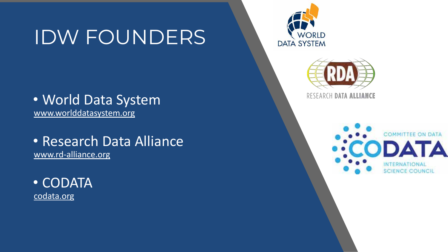## IDW FOUNDERS

### • World Data System [www.worlddatasystem.org](https://www.worlddatasystem.org/)

• Research Data Alliance [www.rd-alliance.org](https://www.rd-alliance.org/)

• CODATA [codata.org](https://codata.org/)





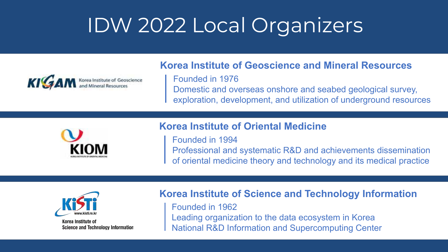# IDW 2022 Local Organizers



### **Korea Institute of Geoscience and Mineral Resources**

Founded in 1976 Domestic and overseas onshore and seabed geological survey, exploration, development, and utilization of underground resources



### **Korea Institute of Oriental Medicine**

Founded in 1994

Professional and systematic R&D and achievements dissemination of oriental medicine theory and technology and its medical practice



Korea Institute of **Science and Technology Information** 

### **Korea Institute of Science and Technology Information**

Founded in 1962 Leading organization to the data ecosystem in Korea National R&D Information and Supercomputing Center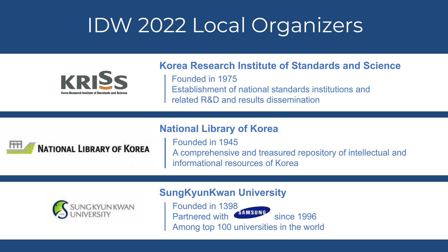# IDW 2022 Local Organizers



### **Korea Research Institute of Standards and Science**

Founded in 1975 Establishment of national standards institutions and related R&D and results dissemination

### **National Library of Korea**



Founded in 1945 A comprehensive and treasured repository of intellectual and informational resources of Korea



### **SungKyunKwan University**

Founded in 1398 Partnered with shinsung since 1996 Among top 100 universities in the world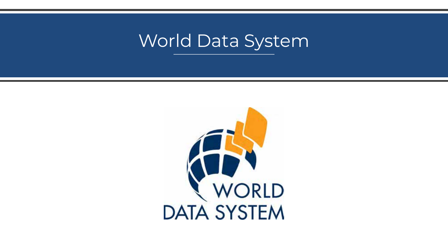### World Data System

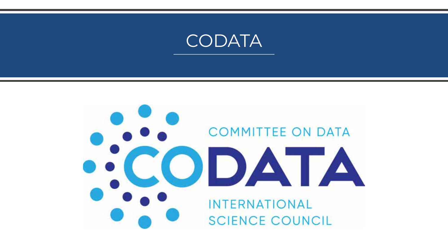

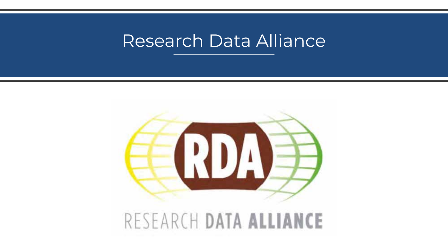### Research Data Alliance



RESEARCH DATA ALLIANCE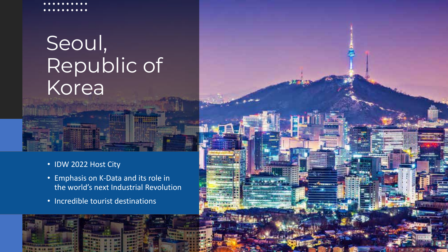# Seoul, Republic of **Korea**

- IDW 2022 Host City
- Emphasis on K-Data and its role in the world's next Industrial Revolution
- Incredible tourist destinations

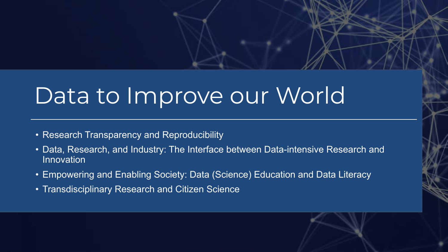# Data to Improve our World

- Research Transparency and Reproducibility
- Data, Research, and Industry: The Interface between Data-intensive Research and Innovation
- Empowering and Enabling Society: Data (Science) Education and Data Literacy
- Transdisciplinary Research and Citizen Science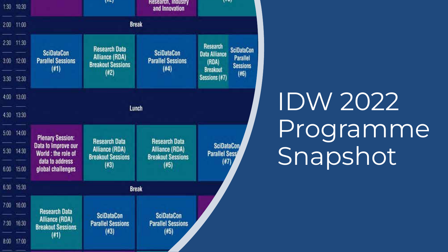

IDW 2022 Programme Snapshot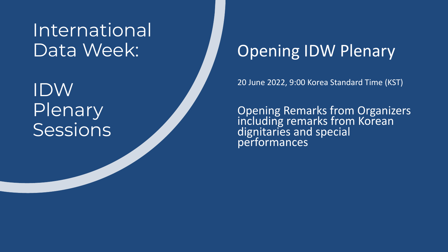IDW Plenary **Sessions** 

### Opening IDW Plenary

20 June 2022, 9:00 Korea Standard Time (KST)

Opening Remarks from Organizers including remarks from Korean dignitaries and special performances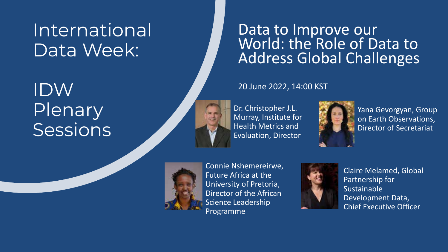## IDW Plenary Sessions

Data to Improve our<br>World: the Role of Data to Address Global Challenges

### 20 June 2022, 14:00 KST

Dr. Christopher J.L. Murray, Institute for Health Metrics and Evaluation, Director



Yana Gevorgyan, Group on Earth Observations, Director of Secretariat



Connie Nshemereirwe, Future Africa at the University of Pretoria, Director of the African Science Leadership Programme



Claire Melamed, Global Partnership for Sustainable Development Data, Chief Executive Officer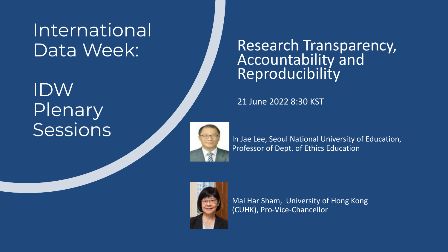IDW Plenary<br>Sessions

Research Transparency, Accountability and **Reproducibility** 

21 June 2022 8:30 KST



In Jae Lee, Seoul National University of Education, Professor of Dept. of Ethics Education



Mai Har Sham, University of Hong Kong (CUHK), Pro-Vice-Chancellor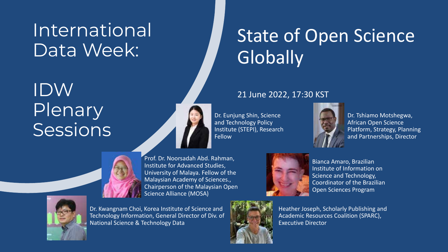## IDW Plenary Sessions



Prof. Dr. Noorsadah Abd. Rahman, Institute for Advanced Studies, University of Malaya. Fellow of the Malaysian Academy of Sciences., Chairperson of the Malaysian Open Science Alliance (MOSA)



Dr. Kwangnam Choi, Korea Institute of Science and Technology Information, General Director of Div. of National Science & Technology Data

Bianca Amaro, Brazilian Institute of Information on Science and Technology, Coordinator of the Brazilian Open Sciences Program



Heather Joseph, Scholarly Publishing and Academic Resources Coalition (SPARC),

### 21 June 2022, 17:30 KST

**Globally** 

Dr. Eunjung Shin, Science and Technology Policy Institute (STEPI), Research Fellow



State of Open Science

Dr. Tshiamo Motshegwa, African Open Science Platform, Strategy, Planning and Partnerships, Director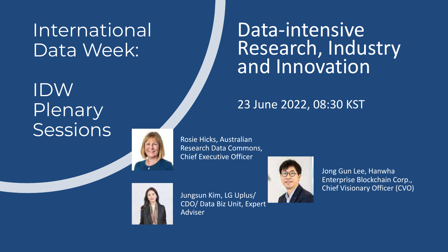## IDW **Plenary** Sessions



Rosie Hicks, Australian Research Data Commons, Chief Executive Officer



Jungsun Kim, LG Uplus/ CDO/ Data Biz Unit, Expert Adviser



Jong Gun Lee, Hanwha Enterprise Blockchain Corp., Chief Visionary Officer (CVO)

### Data-intensive Research, Industry and Innovation

### 23 June 2022, 08:30 KST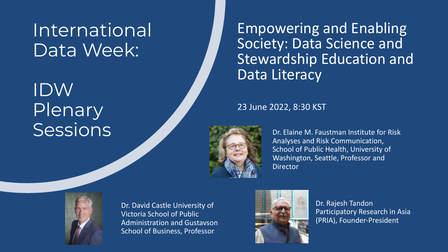## IDW Plenary Sessions and the Company of the Company of the Company of the Session of the Session of the Session of the Company of the Company of the Session of the Company of the Company of the Company of the Company of the Company of

Empowering and Enabling Society: Data Science and Stewardship Education and Data Literacy

23 June 2022, 8:30 KST



Analyses and Risk Communication, School of Public Health, University of Washington, Seattle, Professor and **Director** 



Dr. David Castle University of Victoria School of Public Administration and Gustavson School of Business, Professor



Dr. Rajesh Tandon Participatory Research in Asia (PRIA), Founder-President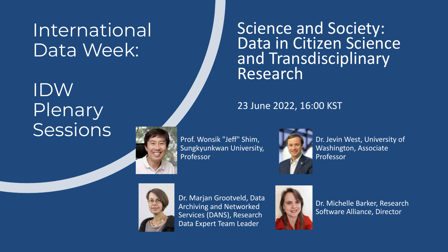## IDW Plenary **Sessions**

Science and Society: Data in Citizen Science and Transdisciplinary Research

### 23 June 2022, 16:00 KST

Prof. Wonsik "Jeff" Shim, Sungkyunkwan University, Professor



Dr. Jevin West, University of Washington, Associate Professor



Dr. Marjan Grootveld, Data Archiving and Networked Services (DANS), Research Data Expert Team Leader



Dr. Michelle Barker, Research Software Alliance, Director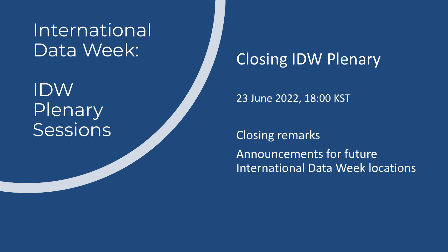## IDW Plenary **Sessions**

### Closing IDW Plenary

23 June 2022, 18:00 KST

Closing remarks Announcements for future International Data Week locations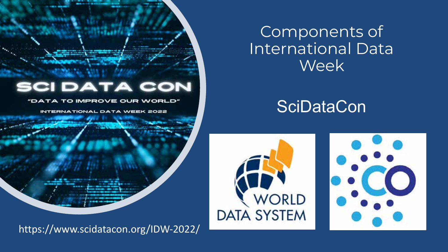#### **DATA CON** 5CI

TO IMPROVE OUR WORLD"

DATA WEEK 2022

https://www.scidatacon.org/IDW-2022/

Components of International Data Week

### **SciDataCon**



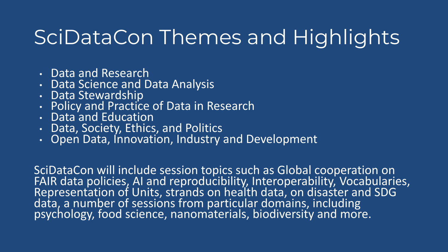# SciDataCon Themes and Highlights

- Data and Research
- Data Science and Data Analysis
- Data Stewardship
- Policy and Practice of Data in Research
- Data and Education
- Data, Society, Ethics, and Politics
- Open Data, Innovation, Industry and Development

SciDataCon will include session topics such as Global cooperation on FAIR data policies, AI and reproducibility, Interoperability, Vocabularies, Representation of Units, strands on health data, on disaster and SDG data, a number of sessions from particular domains, including psychology, food science, nanomaterials, biodiversity and more.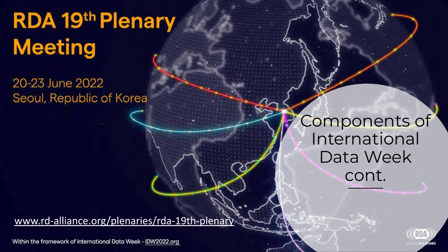# RDA 19th Plenary **Meeting**

20-23 June 2022 Seoul, Republic of Korea

> Components of International Data Week cont.

[www.rd-alliance.org/plenaries/rda-19th-plenary](http://www.rd-alliance.org/plenaries/rda-19th-plenary) 

Within the framework of International Data Week - IDW2022.org

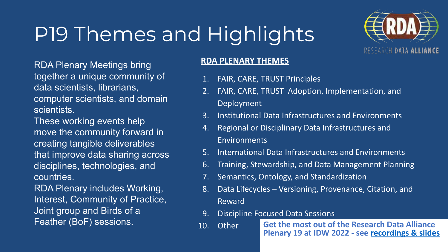# P19 Themes and Highlights



RDA Plenary Meetings bring together a unique community of data scientists, librarians, computer scientists, and domain scientists.

These working events help move the community forward in creating tangible deliverables that improve data sharing across disciplines, technologies, and countries.

RDA Plenary includes Working, Interest, Community of Practice, Joint group and Birds of a Feather (BoF) sessions.

### **RDA PLENARY THEMES**

- 1. FAIR, CARE, TRUST Principles
- 2. FAIR, CARE, TRUST Adoption, Implementation, and Deployment
- 3. Institutional Data Infrastructures and Environments
- 4. Regional or Disciplinary Data Infrastructures and Environments
- 5. International Data Infrastructures and Environments
- 6. Training, Stewardship, and Data Management Planning
- 7. Semantics, Ontology, and Standardization
- 8. Data Lifecycles Versioning, Provenance, Citation, and Reward
- 9. Discipline Focused Data Sessions
- **Get the most out of the Research Data Alliance Plenary 19 at IDW 2022 - see [recordings & slides](https://www.rd-alliance.org/webinars-why-attend-rda-19th-plenary-idw-2022)** 10. Other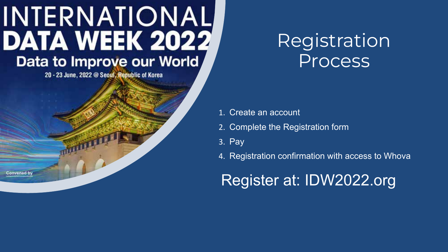20 - 23 June, 2022 @ Seoul, Republic of Korea

**Convened by** 

### Registration Process

- 1. Create an account
- 2. Complete the Registration form
- 3. Pay
- 4. Registration confirmation with access to Whova

### Register at: IDW2022.org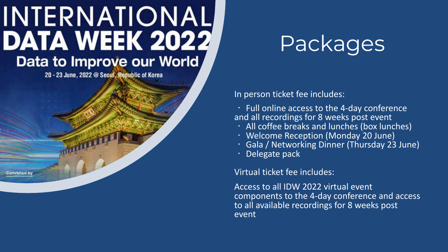20 - 23 June, 2022 @ Seoul, Republic of Korea

Convened by

# Packages

In person ticket fee includes:

• Full online access to the 4-day conference<br>and all recordings for 8 weeks post event

- 
- 
- All coffee breaks and lunches (box lunches)<br>• Welcome Reception (Monday 20 June)<br>• Gala / Networking Dinner (Thursday 23 June)<br>• Delegate pack
- 

Virtual ticket fee includes:

Access to all IDW 2022 virtual event components to the 4-day conference and access to all available recordings for 8 weeks post event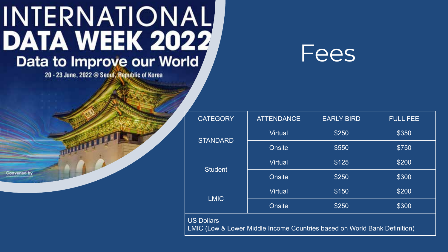20 - 23 June, 2022 @ Seoul, Republic of Korea

**Convened by** 



| <b>CATEGORY</b>                                                                                           | <b>ATTENDANCE</b> | <b>EARLY BIRD</b> | <b>FULL FEE</b> |
|-----------------------------------------------------------------------------------------------------------|-------------------|-------------------|-----------------|
| <b>STANDARD</b>                                                                                           | <b>Virtual</b>    | \$250             | \$350           |
|                                                                                                           | <b>Onsite</b>     | \$550             | \$750           |
| <b>Student</b>                                                                                            | <b>Virtual</b>    | \$125             | \$200           |
|                                                                                                           | <b>Onsite</b>     | \$250             | \$300           |
| <b>LMIC</b>                                                                                               | <b>Virtual</b>    | \$150             | \$200           |
|                                                                                                           | <b>Onsite</b>     | \$250             | \$300           |
| <b>US Dollars</b><br><b>LMIC (Low &amp; Lower Middle Income Countries based on World Bank Definition)</b> |                   |                   |                 |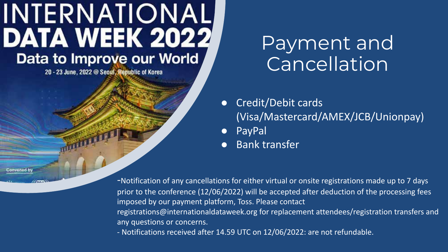20 - 23 June, 2022 @ Seoul, Republic of Korea

## Payment and **Cancellation**

- Credit/Debit cards (Visa/Mastercard/AMEX/JCB/Unionpay)
- **PayPal**
- Bank transfer

-Notification of any cancellations for either virtual or onsite registrations made up to 7 days prior to the conference (12/06/2022) will be accepted after deduction of the processing fees imposed by our payment platform, Toss. Please contact registrations@internationaldataweek.org for replacement attendees/registration transfers and any questions or concerns.

- Notifications received after 14.59 UTC on 12/06/2022: are not refundable.